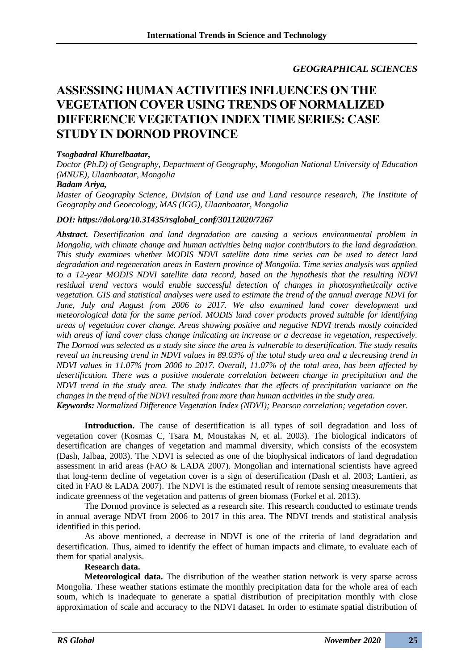# *GEOGRAPHICAL SCIENCES*

# **ASSESSING HUMAN ACTIVITIES INFLUENCES ON THE VEGETATION COVER USING TRENDS OF NORMALIZED DIFFERENCE VEGETATION INDEX TIME SERIES: CASE STUDY IN DORNOD PROVINCE**

## *Tsogbadral Khurelbaatar,*

*Doctor (Ph.D) of Geography, Department of Geography, Mongolian National University of Education (MNUE), Ulaanbaatar, Mongolia*

#### *Badam Ariya,*

*Master of Geography Science, Division of Land use and Land resource research, The Institute of Geography and Geoecology, MAS (IGG), Ulaanbaatar, Mongolia*

#### *DOI: https://doi.org/10.31435/rsglobal\_conf/30112020/7267*

*Abstract. Desertification and land degradation are causing a serious environmental problem in Mongolia, with climate change and human activities being major contributors to the land degradation. This study examines whether MODIS NDVI satellite data time series can be used to detect land degradation and regeneration areas in Eastern province of Mongolia. Time series analysis was applied to a 12-year MODIS NDVI satellite data record, based on the hypothesis that the resulting NDVI residual trend vectors would enable successful detection of changes in photosynthetically active vegetation. GIS and statistical analyses were used to estimate the trend of the annual average NDVI for June, July and August from 2006 to 2017. We also examined land cover development and meteorological data for the same period. MODIS land cover products proved suitable for identifying areas of vegetation cover change. Areas showing positive and negative NDVI trends mostly coincided with areas of land cover class change indicating an increase or a decrease in vegetation, respectively. The Dornod was selected as a study site since the area is vulnerable to desertification. The study results reveal an increasing trend in NDVI values in 89.03% of the total study area and a decreasing trend in NDVI values in 11.07% from 2006 to 2017. Overall, 11.07% of the total area, has been affected by desertification. There was a positive moderate correlation between change in precipitation and the NDVI trend in the study area. The study indicates that the effects of precipitation variance on the changes in the trend of the NDVI resulted from more than human activities in the study area. Keywords: Normalized Difference Vegetation Index (NDVI); Pearson correlation; vegetation cover.*

Introduction. The cause of desertification is all types of soil degradation and loss of vegetation cover (Kosmas C, Tsara M, Moustakas N, et al. 2003). The biological indicators of desertification are changes of vegetation and mammal diversity, which consists of the ecosystem (Dash, Jalbaa, 2003). The NDVI is selected as one of the biophysical indicators of land degradation assessment in arid areas (FAO & LADA 2007). Mongolian and international scientists have agreed that long-term decline of vegetation cover is a sign of desertification (Dash et al. 2003; Lantieri, as cited in FAO & LADA 2007). The NDVI is the estimated result of remote sensing measurements that indicate greenness of the vegetation and patterns of green biomass (Forkel et al. 2013).

The Dornod province is selected as a research site. This research conducted to estimate trends in annual average NDVI from 2006 to 2017 in this area. The NDVI trends and statistical analysis identified in this period.

As above mentioned, a decrease in NDVI is one of the criteria of land degradation and desertification. Thus, aimed to identify the effect of human impacts and climate, to evaluate each of them for spatial analysis.

### **Research data.**

**Meteorological data.** The distribution of the weather station network is very sparse across Mongolia. These weather stations estimate the monthly precipitation data for the whole area of each soum, which is inadequate to generate a spatial distribution of precipitation monthly with close approximation of scale and accuracy to the NDVI dataset. In order to estimate spatial distribution of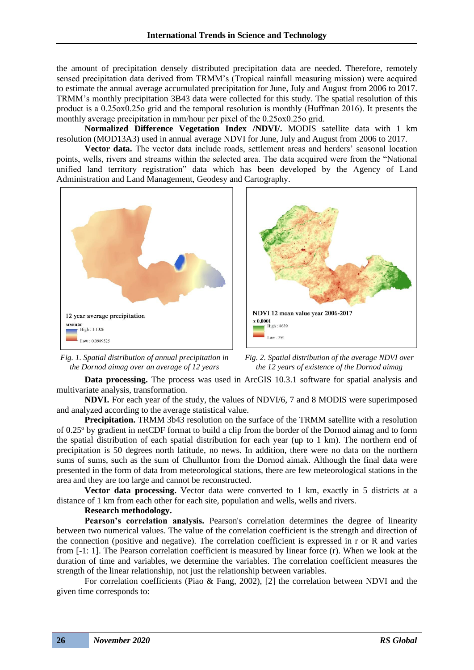the amount of precipitation densely distributed precipitation data are needed. Therefore, remotely sensed precipitation data derived from TRMM's (Tropical rainfall measuring mission) were acquired to estimate the annual average accumulated precipitation for June, July and August from 2006 to 2017. TRMM's monthly precipitation 3B43 data were collected for this study. The spatial resolution of this product is a 0.25ox0.25o grid and the temporal resolution is monthly (Huffman 2016). It presents the monthly average precipitation in mm/hour per pixel of the 0.25оx0.25о grid.

**Normalized Difference Vegetation Index /NDVI/.** MODIS satellite data with 1 km resolution (MOD13A3) used in annual average NDVI for June, July and August from 2006 to 2017.

**Vector data.** The vector data include roads, settlement areas and herders' seasonal location points, wells, rivers and streams within the selected area. The data acquired were from the "National unified land territory registration" data which has been developed by the Agency of Land Administration and Land Management, Geodesy and Cartography.



*Fig. 1. Spatial distribution of annual precipitation in the Dornod aimag over an average of 12 years*



*Fig. 2. Spatial distribution of the average NDVI over the 12 years of existence of the Dornod aimag*

**Data processing.** The process was used in ArcGIS 10.3.1 software for spatial analysis and multivariate analysis, transformation.

**NDVI.** For each year of the study, the values of NDVI/6, 7 and 8 MODIS were superimposed and analyzed according to the average statistical value.

**Precipitation.** TRMM 3b43 resolution on the surface of the TRMM satellite with a resolution of 0.25<sup>o</sup> by gradient in netCDF format to build a clip from the border of the Dornod aimag and to form the spatial distribution of each spatial distribution for each year (up to 1 km). The northern end of precipitation is 50 degrees north latitude, no news. In addition, there were no data on the northern sums of sums, such as the sum of Chulluntor from the Dornod aimak. Although the final data were presented in the form of data from meteorological stations, there are few meteorological stations in the area and they are too large and cannot be reconstructed.

**Vector data processing.** Vector data were converted to 1 km, exactly in 5 districts at a distance of 1 km from each other for each site, population and wells, wells and rivers.

## **Research methodology.**

**Pearson's correlation analysis.** Pearson's correlation determines the degree of linearity between two numerical values. The value of the correlation coefficient is the strength and direction of the connection (positive and negative). The correlation coefficient is expressed in r or R and varies from [-1: 1]. The Pearson correlation coefficient is measured by linear force (r). When we look at the duration of time and variables, we determine the variables. The correlation coefficient measures the strength of the linear relationship, not just the relationship between variables.

For correlation coefficients (Piao & Fang, 2002), [2] the correlation between NDVI and the given time corresponds to: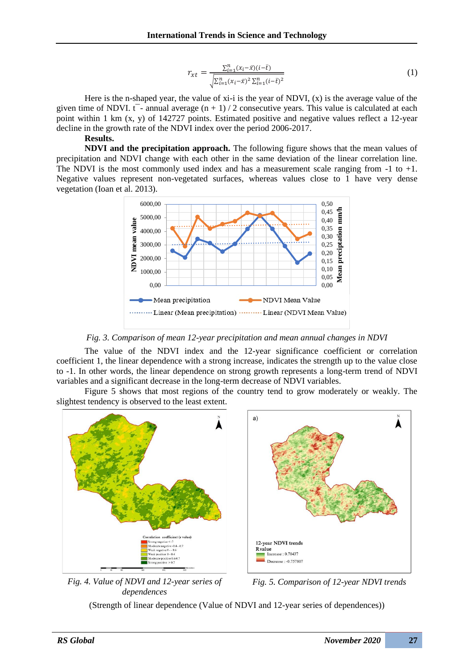$$
r_{xt} = \frac{\sum_{i=1}^{n} (x_i - \bar{x})(i - \bar{t})}{\sqrt{\sum_{i=1}^{n} (x_i - \bar{x})^2 \sum_{i=1}^{n} (i - \bar{t})^2}}
$$
(1)

Here is the n-shaped year, the value of  $x_i$ -i is the year of NDVI,  $(x)$  is the average value of the given time of NDVI.  $t^{-}$ - annual average  $(n + 1) / 2$  consecutive years. This value is calculated at each point within 1 km (x, y) of 142727 points. Estimated positive and negative values reflect a 12-year decline in the growth rate of the NDVI index over the period 2006-2017.

## **Results.**

**NDVI and the precipitation approach.** The following figure shows that the mean values of precipitation and NDVI change with each other in the same deviation of the linear correlation line. The NDVI is the most commonly used index and has a measurement scale ranging from -1 to +1. Negative values represent non-vegetated surfaces, whereas values close to 1 have very dense vegetation (Ioan et al. 2013).



*Fig. 3. Comparison of mean 12-year precipitation and mean annual changes in NDVI*

The value of the NDVI index and the 12-year significance coefficient or correlation coefficient 1, the linear dependence with a strong increase, indicates the strength up to the value close to -1. In other words, the linear dependence on strong growth represents a long-term trend of NDVI variables and a significant decrease in the long-term decrease of NDVI variables.

Figure 5 shows that most regions of the country tend to grow moderately or weakly. The slightest tendency is observed to the least extent.

![](_page_2_Figure_9.jpeg)

*Fig. 4. Value of NDVI and 12-year series of dependences*

![](_page_2_Figure_11.jpeg)

(Strength of linear dependence (Value of NDVI and 12-year series of dependences))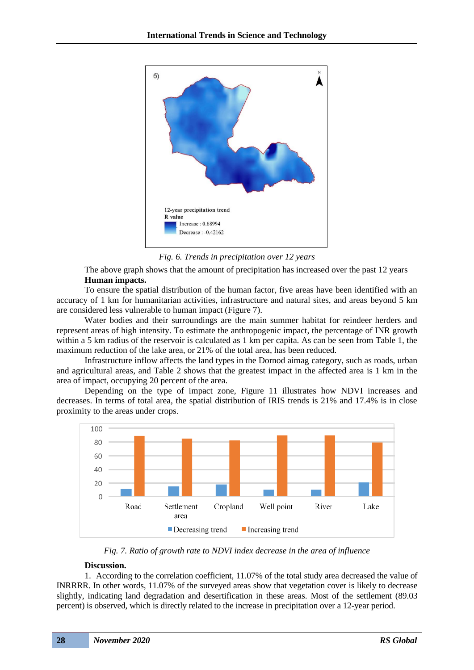![](_page_3_Figure_1.jpeg)

*Fig. 6. Trends in precipitation over 12 years*

The above graph shows that the amount of precipitation has increased over the past 12 years **Human impacts.**

To ensure the spatial distribution of the human factor, five areas have been identified with an accuracy of 1 km for humanitarian activities, infrastructure and natural sites, and areas beyond 5 km are considered less vulnerable to human impact (Figure 7).

Water bodies and their surroundings are the main summer habitat for reindeer herders and represent areas of high intensity. To estimate the anthropogenic impact, the percentage of INR growth within a 5 km radius of the reservoir is calculated as 1 km per capita. As can be seen from Table 1, the maximum reduction of the lake area, or 21% of the total area, has been reduced.

Infrastructure inflow affects the land types in the Dornod aimag category, such as roads, urban and agricultural areas, and Table 2 shows that the greatest impact in the affected area is 1 km in the area of impact, occupying 20 percent of the area.

Depending on the type of impact zone, Figure 11 illustrates how NDVI increases and decreases. In terms of total area, the spatial distribution of IRIS trends is 21% and 17.4% is in close proximity to the areas under crops.

![](_page_3_Figure_8.jpeg)

*Fig. 7. Ratio of growth rate to NDVI index decrease in the area of influence*

### **Discussion.**

1. According to the correlation coefficient, 11.07% of the total study area decreased the value of INRRRR. In other words, 11.07% of the surveyed areas show that vegetation cover is likely to decrease slightly, indicating land degradation and desertification in these areas. Most of the settlement (89.03 percent) is observed, which is directly related to the increase in precipitation over a 12-year period.